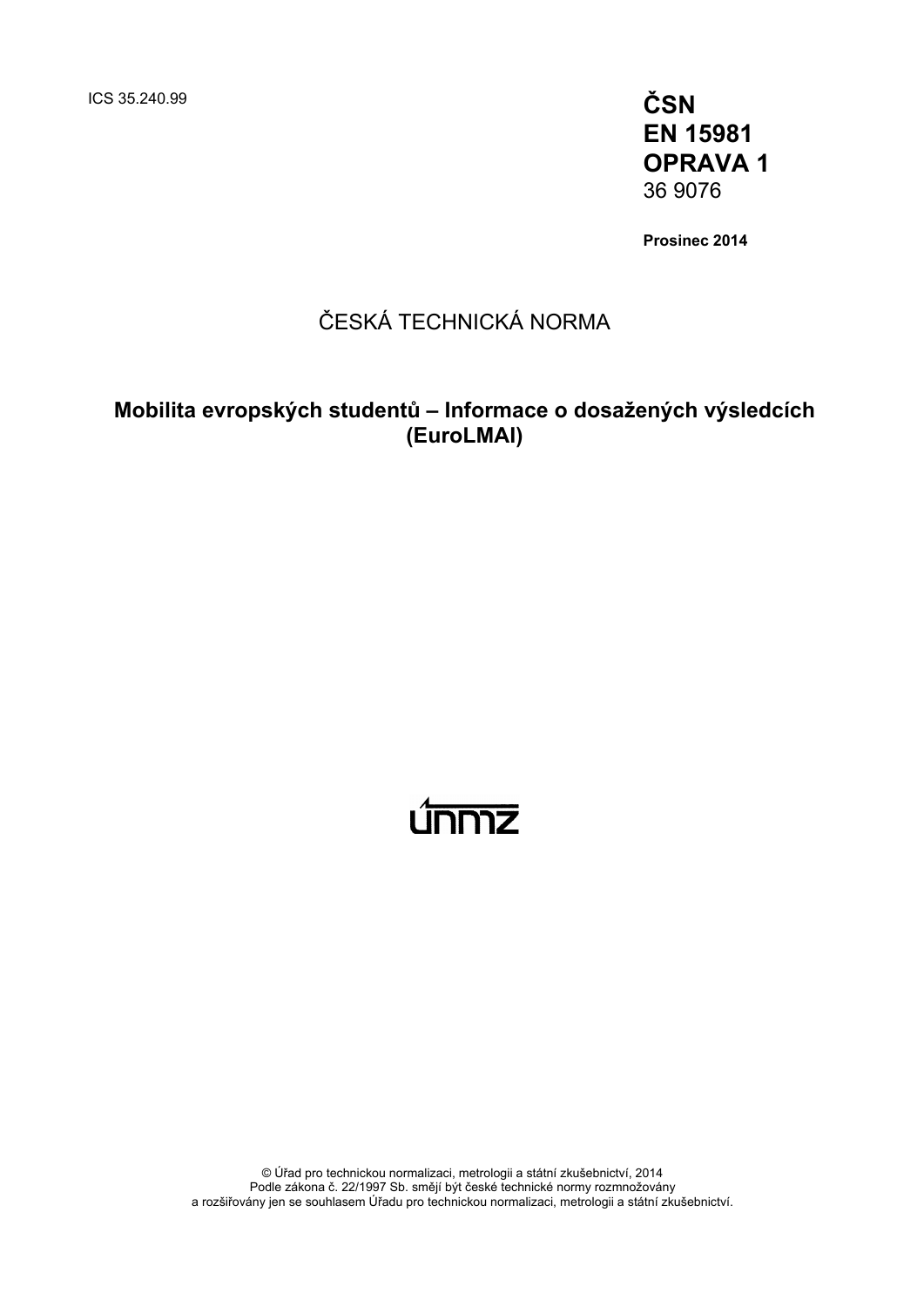ICS 35.240.99 **ČSN EN 15981 OPRAVA 1**  36 9076

**Prosinec 2014** 

### ČESKÁ TECHNICKÁ NORMA

### **Mobilita evropských studentů – Informace o dosažených výsledcích (EuroLMAI)**

# ummz

© Úřad pro technickou normalizaci, metrologii a státní zkušebnictví, 2014 Podle zákona č. 22/1997 Sb. smějí být české technické normy rozmnožovány a rozšiřovány jen se souhlasem Úřadu pro technickou normalizaci, metrologii a státní zkušebnictví.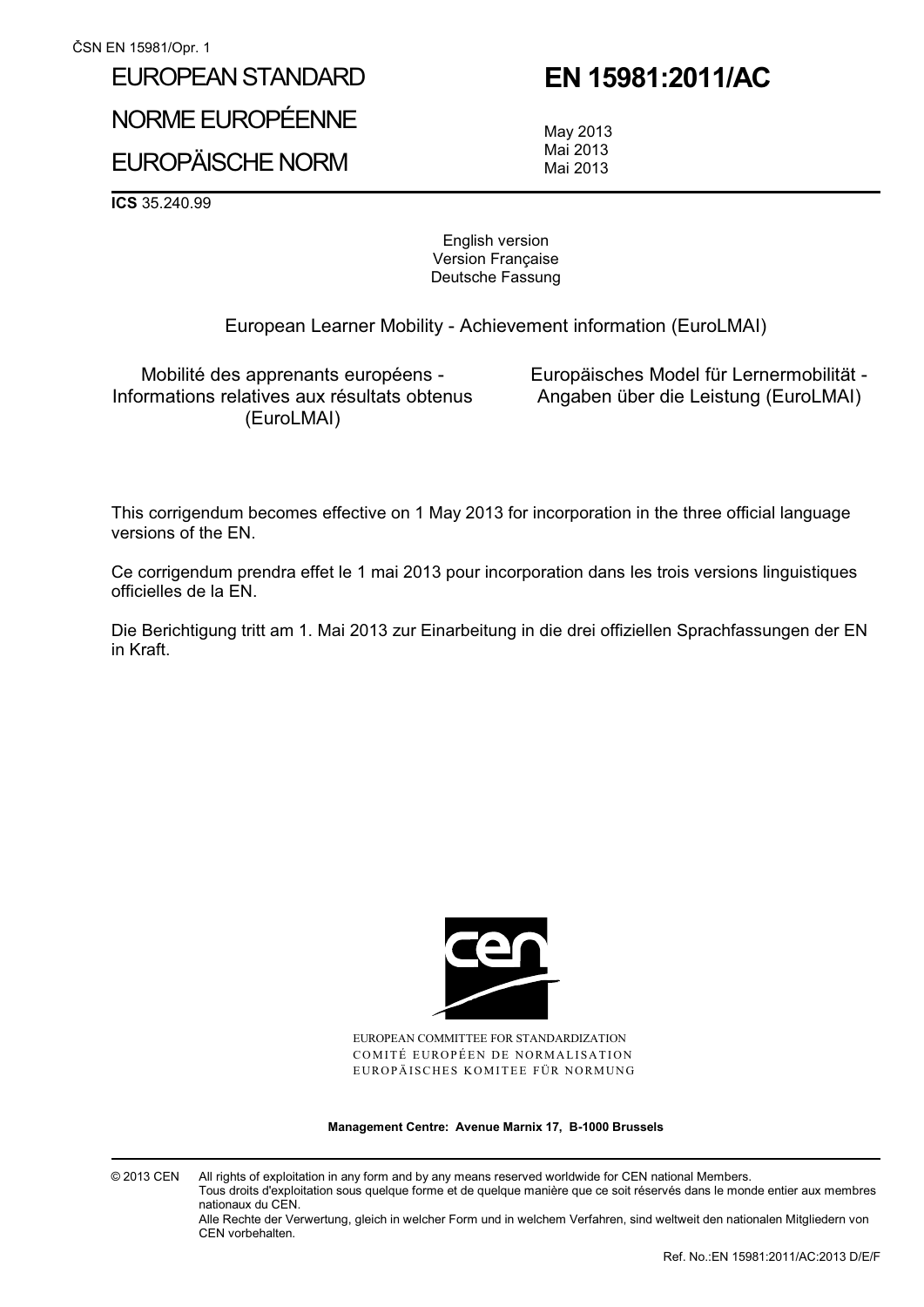## EUROPEAN STANDARD NORME EUROPÉENNE EUROPÄISCHE NORM

### **EN 15981:2011/AC**

 May 2013 Mai 2013 Mai 2013

**ICS** 35.240.99

English version Version Française Deutsche Fassung

European Learner Mobility - Achievement information (EuroLMAI)

Mobilité des apprenants européens - Informations relatives aux résultats obtenus (EuroLMAI)

 Europäisches Model für Lernermobilität - Angaben über die Leistung (EuroLMAI)

This corrigendum becomes effective on 1 May 2013 for incorporation in the three official language versions of the EN.

Ce corrigendum prendra effet le 1 mai 2013 pour incorporation dans les trois versions linguistiques officielles de la EN.

Die Berichtigung tritt am 1. Mai 2013 zur Einarbeitung in die drei offiziellen Sprachfassungen der EN in Kraft.



EUROPEAN COMMITTEE FOR STANDARDIZATION COMITÉ EUROPÉEN DE NORMALISATION EUROPÄISCHES KOMITEE FÜR NORMUNG

**Management Centre: Avenue Marnix 17, B-1000 Brussels** 

© 2013 CEN All rights of exploitation in any form and by any means reserved worldwide for CEN national Members. Tous droits d'exploitation sous quelque forme et de quelque manière que ce soit réservés dans le monde entier aux membres nationaux du CEN.

Alle Rechte der Verwertung, gleich in welcher Form und in welchem Verfahren, sind weltweit den nationalen Mitgliedern von CEN vorbehalten.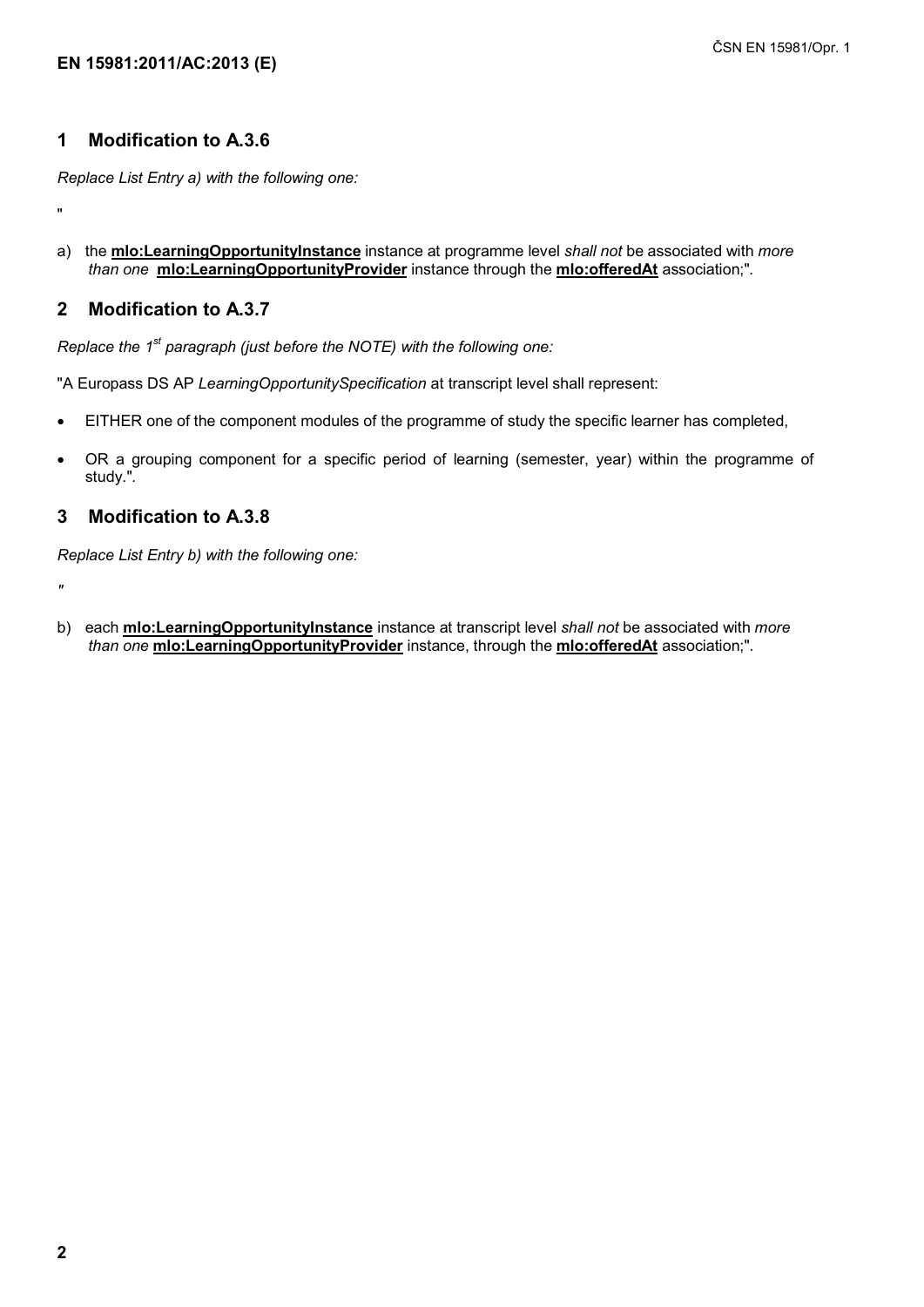#### **1 Modification to A.3.6**

*Replace List Entry a) with the following one:* 

"

a) the **mlo:LearningOpportunityInstance** instance at programme level *shall not* be associated with *more than one* **mlo:LearningOpportunityProvider** instance through the **mlo:offeredAt** association;"*.* 

#### **2 Modification to A.3.7**

*Replace the 1<sup>st</sup> paragraph (just before the NOTE) with the following one:* 

"A Europass DS AP *LearningOpportunitySpecification* at transcript level shall represent:

- -EITHER one of the component modules of the programme of study the specific learner has completed,
- - OR a grouping component for a specific period of learning (semester, year) within the programme of study."*.*

### **3 Modification to A.3.8**

*Replace List Entry b) with the following one:* 

 $\overline{u}$ 

b) each **mlo:LearningOpportunityInstance** instance at transcript level *shall not* be associated with *more than one* **mlo:LearningOpportunityProvider** instance, through the **mlo:offeredAt** association;"*.*